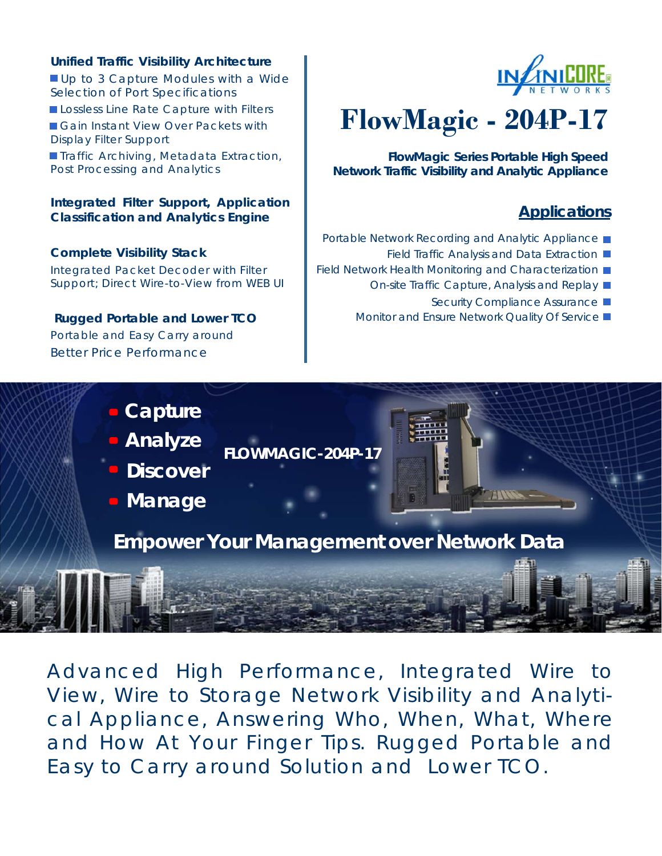### **Unified Traffic Visibility Architecture**

Up to 3 Capture Modules with a Wide Selection of Port Specifications Lossless Line Rate Capture with Filters Gain Instant View Over Packets with Display Filter Support **Traffic Archiving, Metadata Extraction,** Post Processing and Analytics

#### **Integrated Filter Support, Application Classification and Analytics Engine**

#### **Complete Visibility Stack**

Integrated Packet Decoder with Filter Support; Direct Wire-to-View from WEB UI

# **Rugged Portable and Lower TCO**  Portable and Easy Carry around

Better Price Performance



# **FlowMagic - 204P-17**

**FlowMagic Series Portable High Speed Network Traffic Visibility and Analytic Appliance** 

# **Applications**

- Portable Network Recording and Analytic Appliance
	- Field Traffic Analysis and Data Extraction
- Field Network Health Monitoring and Characterization  $\blacksquare$ 
	- On-site Traffic Capture, Analysis and Replay
		- Security Compliance Assurance ■
	- Monitor and Ensure Network Quality Of Service ■



Advanced High Performance, Integrated Wire to View, Wire to Storage Network Visibility and Analytical Appliance, Answering Who, When, What, Where and How At Your Finger Tips. Rugged Portable and Easy to Carry around Solution and Lower TCO.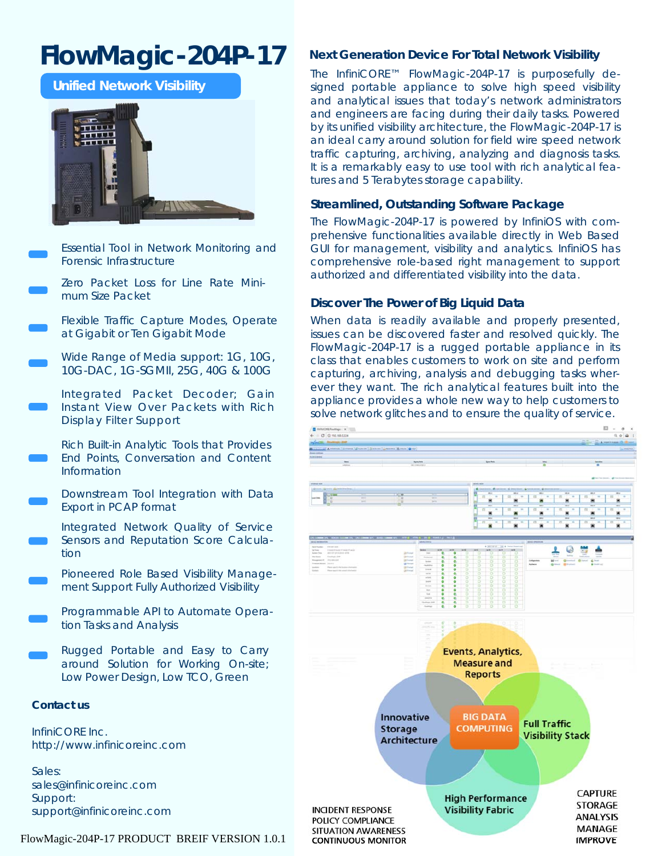# **FlowMagic-204P-17**

**Unified Network Visibility** 



Essential Tool in Network Monitoring and Forensic Infrastructure

Zero Packet Loss for Line Rate Minimum Size Packet

Flexible Traffic Capture Modes, Operate at Gigabit or Ten Gigabit Mode

Wide Range of Media support: 1G, 10G, 10G-DAC, 1G-SGMII, 25G, 40G & 100G

Integrated Packet Decoder; Gain Instant View Over Packets with Rich Display Filter Support

Rich Built-in Analytic Tools that Provides End Points, Conversation and Content Information

Downstream Tool Integration with Data Export in PCAP format

Integrated Network Quality of Service Sensors and Reputation Score Calculation

Pioneered Role Based Visibility Management Support Fully Authorized Visibility

Programmable API to Automate Operation Tasks and Analysis

Rugged Portable and Easy to Carry around Solution for Working On-site; Low Power Design, Low TCO, Green

#### **Contact us**

InfiniCORE Inc. http://www.infinicoreinc.com

Sales: sales@infinicoreinc.com Support: support@infinicoreinc.com

#### FlowMagic-204P-17 PRODUCT BREIF VERSION 1.0.1 CONTINUOUS MONITOR

#### **Next Generation Device For Total Network Visibility**

The InfiniCORE™ FlowMagic-204P-17 is purposefully designed portable appliance to solve high speed visibility and analytical issues that today's network administrators and engineers are facing during their daily tasks. Powered by its unified visibility architecture, the FlowMagic-204P-17 is an ideal carry around solution for field wire speed network traffic capturing, archiving, analyzing and diagnosis tasks. It is a remarkably easy to use tool with rich analytical features and 5 Terabytes storage capability.

#### **Streamlined, Outstanding Software Package**

The FlowMagic-204P-17 is powered by InfiniOS with comprehensive functionalities available directly in Web Based GUI for management, visibility and analytics. InfiniOS has comprehensive role-based right management to support authorized and differentiated visibility into the data.

#### **Discover The Power of Big Liquid Data**

When data is readily available and properly presented, issues can be discovered faster and resolved quickly. The FlowMagic-204P-17 is a rugged portable appliance in its class that enables customers to work on site and perform capturing, archiving, analysis and debugging tasks wherever they want. The rich analytical features built into the appliance provides a whole new way to help customers to solve network glitches and to ensure the quality of service.

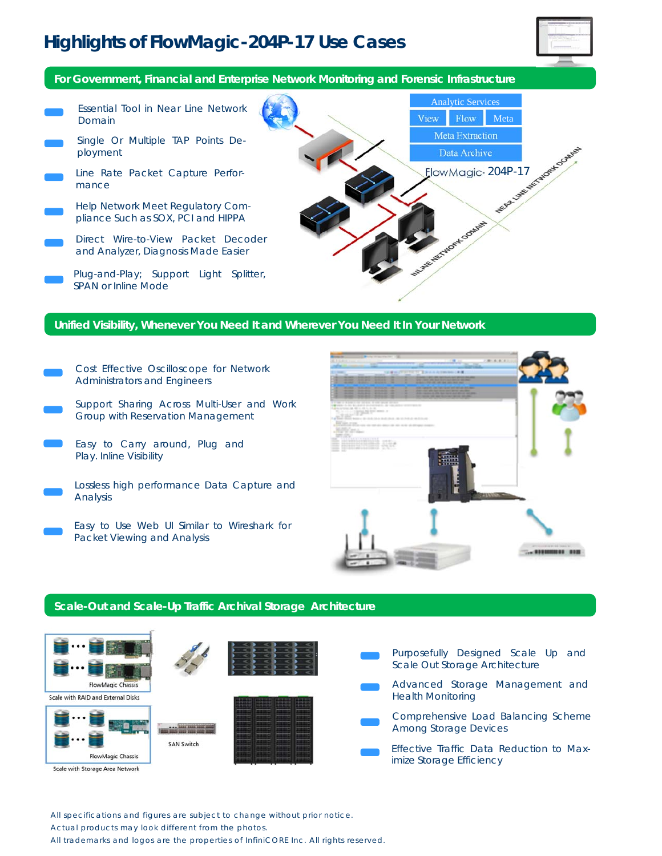# **Highlights of FlowMagic-204P-17 Use Cases**



**For Government, Financial and Enterprise Network Monitoring and Forensic Infrastructure** 

Analytic Services Essential Tool in Near Line Network View Flow Meta Domain Meta Extraction Single Or Multiple TAP Points De-Was Linke Mc Moder Content ployment Data Archive ElowMagic-204P-17 Line Rate Packet Capture Performance Help Network Meet Regulatory Com-ETWORK COMMIS pliance Such as SOX, PCI and HIPPA Direct Wire-to-View Packet Decoder and Analyzer, Diagnosis Made Easier Plug-and-Play; Support Light Splitter, SPAN or Inline Mode

#### **Unified Visibility, Whenever You Need It and Wherever You Need It In Your Network**

- Cost Effective Oscilloscope for Network Administrators and Engineers
- Support Sharing Across Multi-User and Work Group with Reservation Management
- Easy to Carry around, Plug and Play. Inline Visibility
- Lossless high performance Data Capture and Analysis
	- Easy to Use Web UI Similar to Wireshark for Packet Viewing and Analysis



#### **Scale-Out and Scale-Up Traffic Archival Storage Architecture**



All specifications and figures are subject to change without prior notice. Actual products may look different from the photos.

All trademarks and logos are the properties of InfiniCORE Inc. All rights reserved.